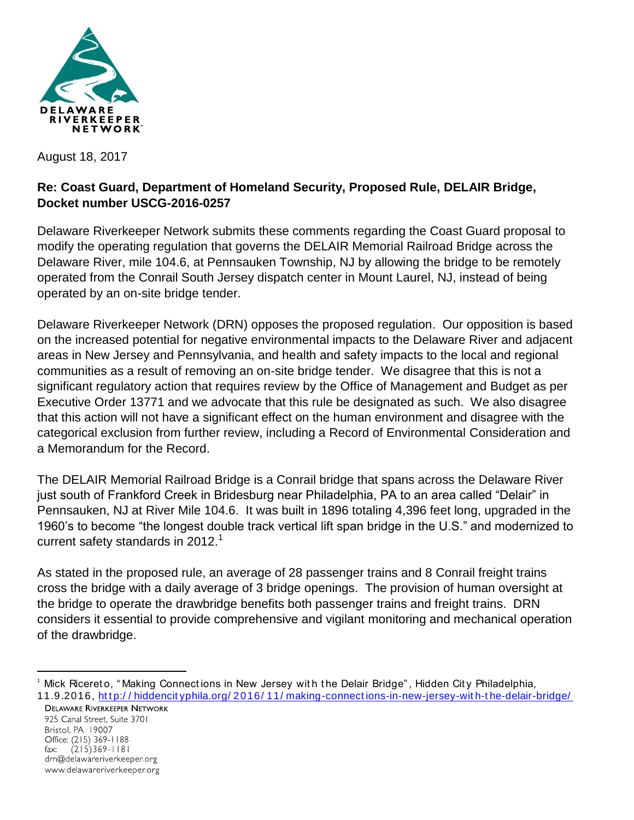

August 18, 2017

## **Re: Coast Guard, Department of Homeland Security, Proposed Rule, DELAIR Bridge, Docket number USCG-2016-0257**

Delaware Riverkeeper Network submits these comments regarding the Coast Guard proposal to modify the operating regulation that governs the DELAIR Memorial Railroad Bridge across the Delaware River, mile 104.6, at Pennsauken Township, NJ by allowing the bridge to be remotely operated from the Conrail South Jersey dispatch center in Mount Laurel, NJ, instead of being operated by an on-site bridge tender.

Delaware Riverkeeper Network (DRN) opposes the proposed regulation. Our opposition is based on the increased potential for negative environmental impacts to the Delaware River and adjacent areas in New Jersey and Pennsylvania, and health and safety impacts to the local and regional communities as a result of removing an on-site bridge tender. We disagree that this is not a significant regulatory action that requires review by the Office of Management and Budget as per Executive Order 13771 and we advocate that this rule be designated as such. We also disagree that this action will not have a significant effect on the human environment and disagree with the categorical exclusion from further review, including a Record of Environmental Consideration and a Memorandum for the Record.

The DELAIR Memorial Railroad Bridge is a Conrail bridge that spans across the Delaware River just south of Frankford Creek in Bridesburg near Philadelphia, PA to an area called "Delair" in Pennsauken, NJ at River Mile 104.6. It was built in 1896 totaling 4,396 feet long, upgraded in the 1960's to become "the longest double track vertical lift span bridge in the U.S." and modernized to current safety standards in  $2012<sup>1</sup>$ 

As stated in the proposed rule, an average of 28 passenger trains and 8 Conrail freight trains cross the bridge with a daily average of 3 bridge openings. The provision of human oversight at the bridge to operate the drawbridge benefits both passenger trains and freight trains. DRN considers it essential to provide comprehensive and vigilant monitoring and mechanical operation of the drawbridge.

 $\overline{a}$ 

<sup>&</sup>lt;sup>1</sup> Mick Ricereto, "Making Connections in New Jersey with the Delair Bridge", Hidden City Philadelphia, 11.9.2016, [ht t p:/ / hiddencit yphila.org/ 2016/ 11/ making-connect ions-in-new-jersey-wit h-t he-delair-bridge/](http://hiddencityphila.org/2016/11/making-connections-in-new-jersey-with-the-delair-bridge/)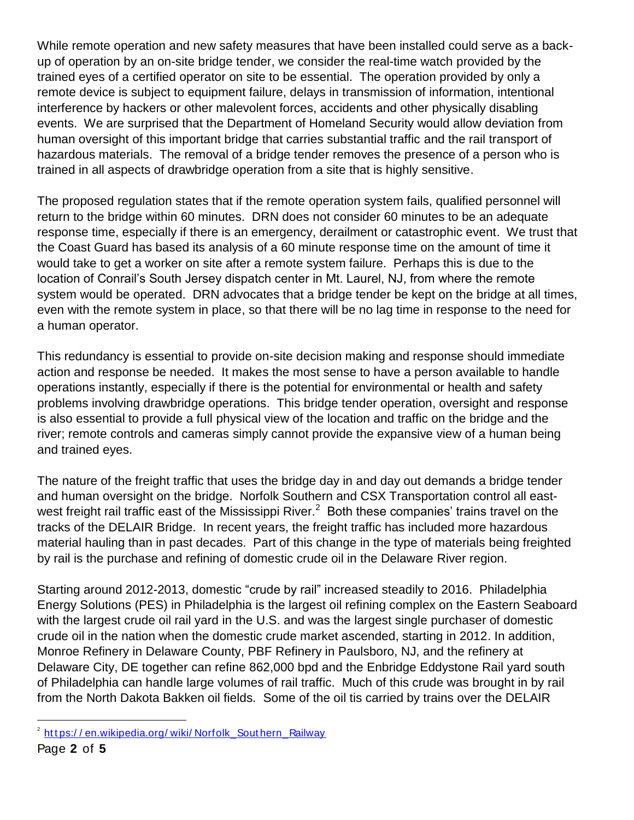While remote operation and new safety measures that have been installed could serve as a backup of operation by an on-site bridge tender, we consider the real-time watch provided by the trained eyes of a certified operator on site to be essential. The operation provided by only a remote device is subject to equipment failure, delays in transmission of information, intentional interference by hackers or other malevolent forces, accidents and other physically disabling events. We are surprised that the Department of Homeland Security would allow deviation from human oversight of this important bridge that carries substantial traffic and the rail transport of hazardous materials. The removal of a bridge tender removes the presence of a person who is trained in all aspects of drawbridge operation from a site that is highly sensitive.

The proposed regulation states that if the remote operation system fails, qualified personnel will return to the bridge within 60 minutes. DRN does not consider 60 minutes to be an adequate response time, especially if there is an emergency, derailment or catastrophic event. We trust that the Coast Guard has based its analysis of a 60 minute response time on the amount of time it would take to get a worker on site after a remote system failure. Perhaps this is due to the location of Conrail's South Jersey dispatch center in Mt. Laurel, NJ, from where the remote system would be operated. DRN advocates that a bridge tender be kept on the bridge at all times, even with the remote system in place, so that there will be no lag time in response to the need for a human operator.

This redundancy is essential to provide on-site decision making and response should immediate action and response be needed. It makes the most sense to have a person available to handle operations instantly, especially if there is the potential for environmental or health and safety problems involving drawbridge operations. This bridge tender operation, oversight and response is also essential to provide a full physical view of the location and traffic on the bridge and the river; remote controls and cameras simply cannot provide the expansive view of a human being and trained eyes.

The nature of the freight traffic that uses the bridge day in and day out demands a bridge tender and human oversight on the bridge. Norfolk Southern and CSX Transportation control all eastwest freight rail traffic east of the Mississippi River.<sup>2</sup> Both these companies' trains travel on the tracks of the DELAIR Bridge. In recent years, the freight traffic has included more hazardous material hauling than in past decades. Part of this change in the type of materials being freighted by rail is the purchase and refining of domestic crude oil in the Delaware River region.

Starting around 2012-2013, domestic "crude by rail" increased steadily to 2016. Philadelphia Energy Solutions (PES) in Philadelphia is the largest oil refining complex on the Eastern Seaboard with the largest crude oil rail yard in the U.S. and was the largest single purchaser of domestic crude oil in the nation when the domestic crude market ascended, starting in 2012. In addition, Monroe Refinery in Delaware County, PBF Refinery in Paulsboro, NJ, and the refinery at Delaware City, DE together can refine 862,000 bpd and the Enbridge Eddystone Rail yard south of Philadelphia can handle large volumes of rail traffic. Much of this crude was brought in by rail from the North Dakota Bakken oil fields. Some of the oil tis carried by trains over the DELAIR

 $\overline{a}$ 

<sup>&</sup>lt;sup>2</sup> https://en.wikipedia.org/wiki/Norfolk Southern Railway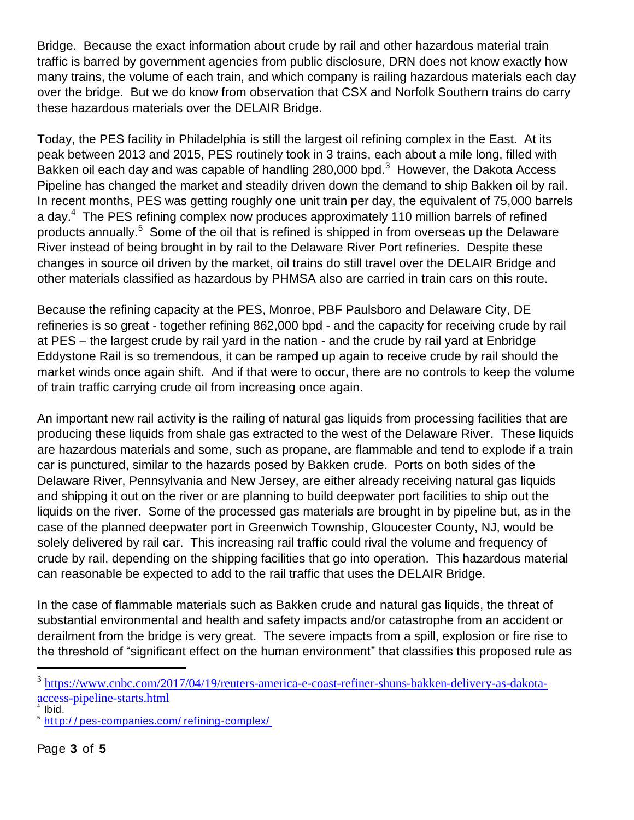Bridge. Because the exact information about crude by rail and other hazardous material train traffic is barred by government agencies from public disclosure, DRN does not know exactly how many trains, the volume of each train, and which company is railing hazardous materials each day over the bridge. But we do know from observation that CSX and Norfolk Southern trains do carry these hazardous materials over the DELAIR Bridge.

Today, the PES facility in Philadelphia is still the largest oil refining complex in the East. At its peak between 2013 and 2015, PES routinely took in 3 trains, each about a mile long, filled with Bakken oil each day and was capable of handling 280,000 bpd.<sup>3</sup> However, the Dakota Access Pipeline has changed the market and steadily driven down the demand to ship Bakken oil by rail. In recent months, PES was getting roughly one unit train per day, the equivalent of 75,000 barrels a day.<sup>4</sup> The PES refining complex now produces approximately 110 million barrels of refined products annually.<sup>5</sup> Some of the oil that is refined is shipped in from overseas up the Delaware River instead of being brought in by rail to the Delaware River Port refineries. Despite these changes in source oil driven by the market, oil trains do still travel over the DELAIR Bridge and other materials classified as hazardous by PHMSA also are carried in train cars on this route.

Because the refining capacity at the PES, Monroe, PBF Paulsboro and Delaware City, DE refineries is so great - together refining 862,000 bpd - and the capacity for receiving crude by rail at PES – the largest crude by rail yard in the nation - and the crude by rail yard at Enbridge Eddystone Rail is so tremendous, it can be ramped up again to receive crude by rail should the market winds once again shift. And if that were to occur, there are no controls to keep the volume of train traffic carrying crude oil from increasing once again.

An important new rail activity is the railing of natural gas liquids from processing facilities that are producing these liquids from shale gas extracted to the west of the Delaware River. These liquids are hazardous materials and some, such as propane, are flammable and tend to explode if a train car is punctured, similar to the hazards posed by Bakken crude. Ports on both sides of the Delaware River, Pennsylvania and New Jersey, are either already receiving natural gas liquids and shipping it out on the river or are planning to build deepwater port facilities to ship out the liquids on the river. Some of the processed gas materials are brought in by pipeline but, as in the case of the planned deepwater port in Greenwich Township, Gloucester County, NJ, would be solely delivered by rail car. This increasing rail traffic could rival the volume and frequency of crude by rail, depending on the shipping facilities that go into operation. This hazardous material can reasonable be expected to add to the rail traffic that uses the DELAIR Bridge.

In the case of flammable materials such as Bakken crude and natural gas liquids, the threat of substantial environmental and health and safety impacts and/or catastrophe from an accident or derailment from the bridge is very great. The severe impacts from a spill, explosion or fire rise to the threshold of "significant effect on the human environment" that classifies this proposed rule as

 $\overline{a}$ 

<sup>&</sup>lt;sup>3</sup> [https://www.cnbc.com/2017/04/19/reuters-america-e-coast-refiner-shuns-bakken-delivery-as-dakota](https://www.cnbc.com/2017/04/19/reuters-america-e-coast-refiner-shuns-bakken-delivery-as-dakota-access-pipeline-starts.html)[access-pipeline-starts.html](https://www.cnbc.com/2017/04/19/reuters-america-e-coast-refiner-shuns-bakken-delivery-as-dakota-access-pipeline-starts.html)

<sup>4</sup> Ibid.

<sup>&</sup>lt;sup>5</sup> http://pes-companies.com/refining-complex/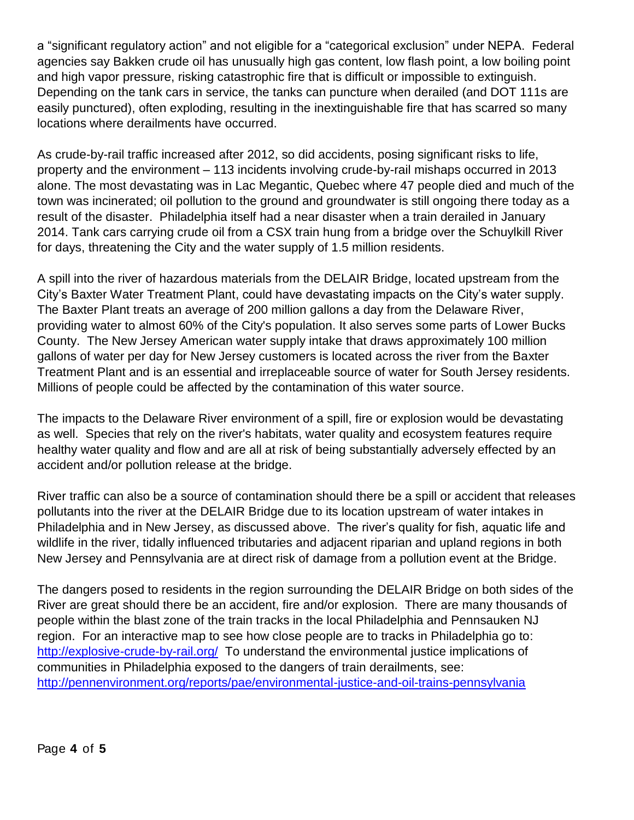a "significant regulatory action" and not eligible for a "categorical exclusion" under NEPA. Federal agencies say Bakken crude oil has unusually high gas content, low flash point, a low boiling point and high vapor pressure, risking catastrophic fire that is difficult or impossible to extinguish. Depending on the tank cars in service, the tanks can puncture when derailed (and DOT 111s are easily punctured), often exploding, resulting in the inextinguishable fire that has scarred so many locations where derailments have occurred.

As crude-by-rail traffic increased after 2012, so did accidents, posing significant risks to life, property and the environment – 113 incidents involving crude-by-rail mishaps occurred in 2013 alone. The most devastating was in Lac Megantic, Quebec where 47 people died and much of the town was incinerated; oil pollution to the ground and groundwater is still ongoing there today as a result of the disaster. Philadelphia itself had a near disaster when a train derailed in January 2014. Tank cars carrying crude oil from a CSX train hung from a bridge over the Schuylkill River for days, threatening the City and the water supply of 1.5 million residents.

A spill into the river of hazardous materials from the DELAIR Bridge, located upstream from the City's Baxter Water Treatment Plant, could have devastating impacts on the City's water supply. The Baxter Plant treats an average of 200 million gallons a day from the Delaware River, providing water to almost 60% of the City's population. It also serves some parts of Lower Bucks County. The New Jersey American water supply intake that draws approximately 100 million gallons of water per day for New Jersey customers is located across the river from the Baxter Treatment Plant and is an essential and irreplaceable source of water for South Jersey residents. Millions of people could be affected by the contamination of this water source.

The impacts to the Delaware River environment of a spill, fire or explosion would be devastating as well. Species that rely on the river's habitats, water quality and ecosystem features require healthy water quality and flow and are all at risk of being substantially adversely effected by an accident and/or pollution release at the bridge.

River traffic can also be a source of contamination should there be a spill or accident that releases pollutants into the river at the DELAIR Bridge due to its location upstream of water intakes in Philadelphia and in New Jersey, as discussed above. The river's quality for fish, aquatic life and wildlife in the river, tidally influenced tributaries and adjacent riparian and upland regions in both New Jersey and Pennsylvania are at direct risk of damage from a pollution event at the Bridge.

The dangers posed to residents in the region surrounding the DELAIR Bridge on both sides of the River are great should there be an accident, fire and/or explosion. There are many thousands of people within the blast zone of the train tracks in the local Philadelphia and Pennsauken NJ region. For an interactive map to see how close people are to tracks in Philadelphia go to: <http://explosive-crude-by-rail.org/>To understand the environmental justice implications of communities in Philadelphia exposed to the dangers of train derailments, see: <http://pennenvironment.org/reports/pae/environmental-justice-and-oil-trains-pennsylvania>